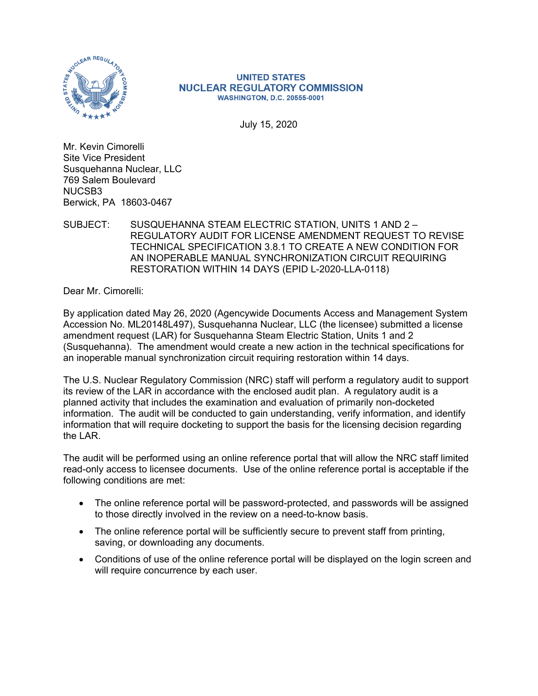

#### **UNITED STATES NUCLEAR REGULATORY COMMISSION WASHINGTON, D.C. 20555-0001**

July 15, 2020

Mr. Kevin Cimorelli Site Vice President Susquehanna Nuclear, LLC 769 Salem Boulevard NUCSB3 Berwick, PA 18603-0467

### SUBJECT: SUSQUEHANNA STEAM ELECTRIC STATION, UNITS 1 AND 2 – REGULATORY AUDIT FOR LICENSE AMENDMENT REQUEST TO REVISE TECHNICAL SPECIFICATION 3.8.1 TO CREATE A NEW CONDITION FOR AN INOPERABLE MANUAL SYNCHRONIZATION CIRCUIT REQUIRING RESTORATION WITHIN 14 DAYS (EPID L-2020-LLA-0118)

Dear Mr. Cimorelli:

By application dated May 26, 2020 (Agencywide Documents Access and Management System Accession No. ML20148L497), Susquehanna Nuclear, LLC (the licensee) submitted a license amendment request (LAR) for Susquehanna Steam Electric Station, Units 1 and 2 (Susquehanna). The amendment would create a new action in the technical specifications for an inoperable manual synchronization circuit requiring restoration within 14 days.

The U.S. Nuclear Regulatory Commission (NRC) staff will perform a regulatory audit to support its review of the LAR in accordance with the enclosed audit plan. A regulatory audit is a planned activity that includes the examination and evaluation of primarily non-docketed information. The audit will be conducted to gain understanding, verify information, and identify information that will require docketing to support the basis for the licensing decision regarding the LAR.

The audit will be performed using an online reference portal that will allow the NRC staff limited read-only access to licensee documents. Use of the online reference portal is acceptable if the following conditions are met:

- The online reference portal will be password-protected, and passwords will be assigned to those directly involved in the review on a need-to-know basis.
- The online reference portal will be sufficiently secure to prevent staff from printing, saving, or downloading any documents.
- Conditions of use of the online reference portal will be displayed on the login screen and will require concurrence by each user.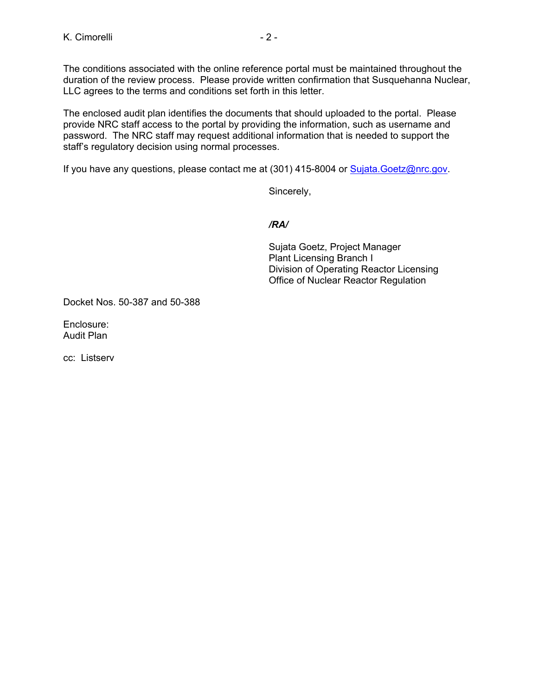The conditions associated with the online reference portal must be maintained throughout the duration of the review process. Please provide written confirmation that Susquehanna Nuclear, LLC agrees to the terms and conditions set forth in this letter.

The enclosed audit plan identifies the documents that should uploaded to the portal. Please provide NRC staff access to the portal by providing the information, such as username and password. The NRC staff may request additional information that is needed to support the staff's regulatory decision using normal processes.

If you have any questions, please contact me at (301) 415-8004 or Sujata. Goetz@nrc.gov.

Sincerely,

*/RA/* 

Sujata Goetz, Project Manager Plant Licensing Branch I Division of Operating Reactor Licensing Office of Nuclear Reactor Regulation

Docket Nos. 50-387 and 50-388

Enclosure: Audit Plan

cc: Listserv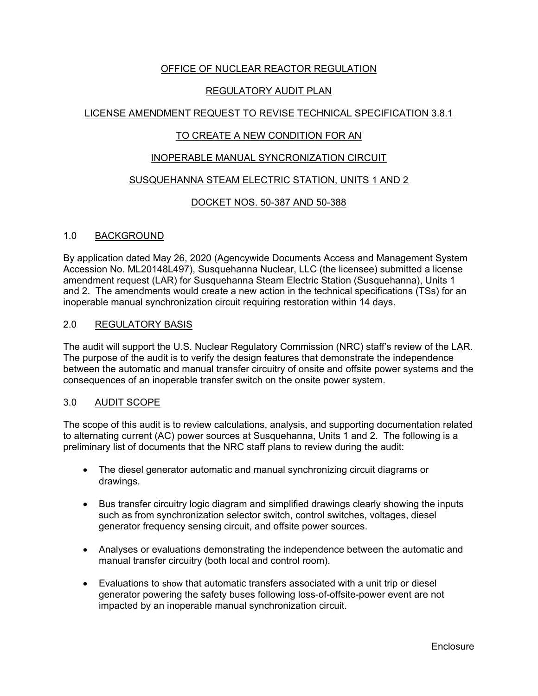# OFFICE OF NUCLEAR REACTOR REGULATION

# REGULATORY AUDIT PLAN

# LICENSE AMENDMENT REQUEST TO REVISE TECHNICAL SPECIFICATION 3.8.1

# TO CREATE A NEW CONDITION FOR AN

### INOPERABLE MANUAL SYNCRONIZATION CIRCUIT

### SUSQUEHANNA STEAM ELECTRIC STATION, UNITS 1 AND 2

### DOCKET NOS. 50-387 AND 50-388

### 1.0 BACKGROUND

By application dated May 26, 2020 (Agencywide Documents Access and Management System Accession No. ML20148L497), Susquehanna Nuclear, LLC (the licensee) submitted a license amendment request (LAR) for Susquehanna Steam Electric Station (Susquehanna), Units 1 and 2. The amendments would create a new action in the technical specifications (TSs) for an inoperable manual synchronization circuit requiring restoration within 14 days.

### 2.0 REGULATORY BASIS

The audit will support the U.S. Nuclear Regulatory Commission (NRC) staff's review of the LAR. The purpose of the audit is to verify the design features that demonstrate the independence between the automatic and manual transfer circuitry of onsite and offsite power systems and the consequences of an inoperable transfer switch on the onsite power system.

#### 3.0 AUDIT SCOPE

The scope of this audit is to review calculations, analysis, and supporting documentation related to alternating current (AC) power sources at Susquehanna, Units 1 and 2. The following is a preliminary list of documents that the NRC staff plans to review during the audit:

- The diesel generator automatic and manual synchronizing circuit diagrams or drawings.
- Bus transfer circuitry logic diagram and simplified drawings clearly showing the inputs such as from synchronization selector switch, control switches, voltages, diesel generator frequency sensing circuit, and offsite power sources.
- Analyses or evaluations demonstrating the independence between the automatic and manual transfer circuitry (both local and control room).
- Evaluations to show that automatic transfers associated with a unit trip or diesel generator powering the safety buses following loss-of-offsite-power event are not impacted by an inoperable manual synchronization circuit.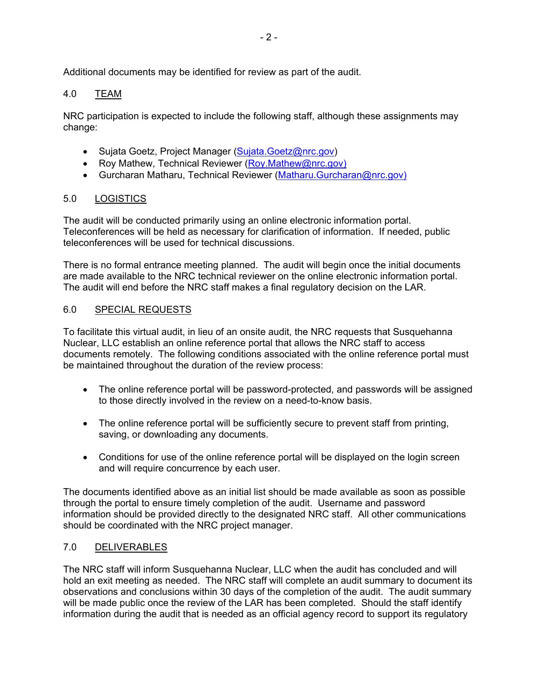Additional documents may be identified for review as part of the audit.

# 4.0 TEAM

NRC participation is expected to include the following staff, although these assignments may change:

- Sujata Goetz, Project Manager (Sujata.Goetz@nrc.gov)
- Roy Mathew, Technical Reviewer (Roy.Mathew@nrc.gov)
- Gurcharan Matharu, Technical Reviewer (Matharu.Gurcharan@nrc.gov)

# 5.0 LOGISTICS

The audit will be conducted primarily using an online electronic information portal. Teleconferences will be held as necessary for clarification of information. If needed, public teleconferences will be used for technical discussions.

There is no formal entrance meeting planned. The audit will begin once the initial documents are made available to the NRC technical reviewer on the online electronic information portal. The audit will end before the NRC staff makes a final regulatory decision on the LAR.

### 6.0 SPECIAL REQUESTS

To facilitate this virtual audit, in lieu of an onsite audit, the NRC requests that Susquehanna Nuclear, LLC establish an online reference portal that allows the NRC staff to access documents remotely. The following conditions associated with the online reference portal must be maintained throughout the duration of the review process:

- The online reference portal will be password-protected, and passwords will be assigned to those directly involved in the review on a need-to-know basis.
- The online reference portal will be sufficiently secure to prevent staff from printing, saving, or downloading any documents.
- Conditions for use of the online reference portal will be displayed on the login screen and will require concurrence by each user.

The documents identified above as an initial list should be made available as soon as possible through the portal to ensure timely completion of the audit. Username and password information should be provided directly to the designated NRC staff. All other communications should be coordinated with the NRC project manager.

### 7.0 DELIVERABLES

The NRC staff will inform Susquehanna Nuclear, LLC when the audit has concluded and will hold an exit meeting as needed. The NRC staff will complete an audit summary to document its observations and conclusions within 30 days of the completion of the audit. The audit summary will be made public once the review of the LAR has been completed. Should the staff identify information during the audit that is needed as an official agency record to support its regulatory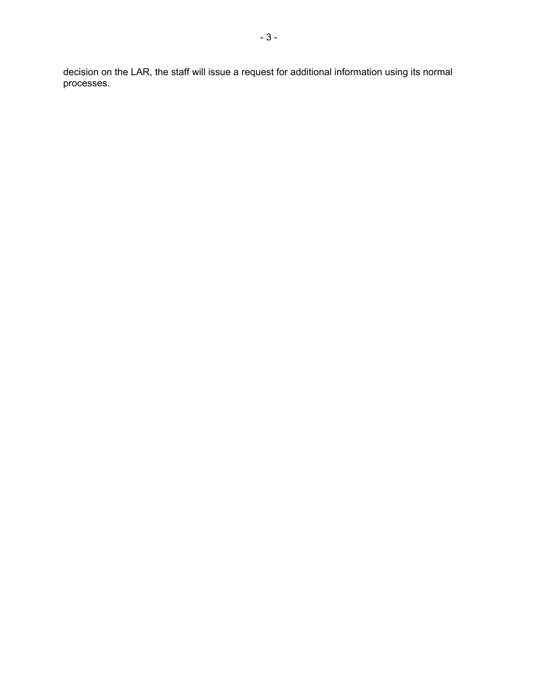decision on the LAR, the staff will issue a request for additional information using its normal processes.